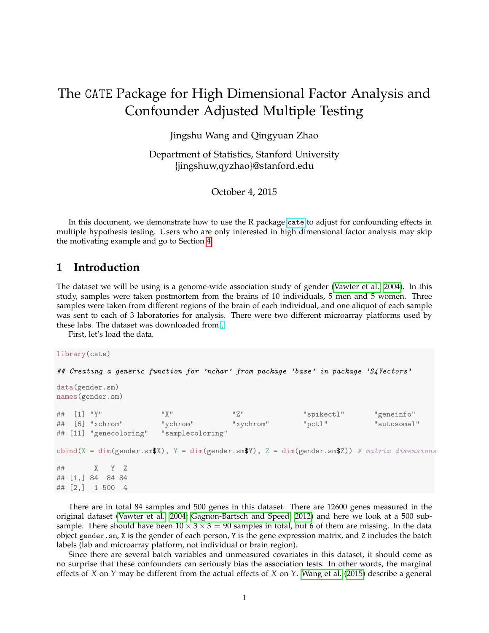# The CATE Package for High Dimensional Factor Analysis and Confounder Adjusted Multiple Testing

Jingshu Wang and Qingyuan Zhao

Department of Statistics, Stanford University {jingshuw,qyzhao}@stanford.edu

October 4, 2015

In this document, we demonstrate how to use the R package [cate](https://cran.r-project.org/web/packages/cate/index.html) to adjust for confounding effects in multiple hypothesis testing. Users who are only interested in high dimensional factor analysis may skip the motivating example and go to Section [4.](#page-4-0)

#### **1 Introduction**

The dataset we will be using is a genome-wide association study of gender [\(Vawter et al., 2004\)](#page-5-0). In this study, samples were taken postmortem from the brains of 10 individuals, 5 men and 5 women. Three samples were taken from different regions of the brain of each individual, and one aliquot of each sample was sent to each of 3 laboratories for analysis. There were two different microarray platforms used by these labs. The dataset was downloaded from [.](http://www.stat.berkeley.edu/~johann/ruv/)

First, let's load the data.

```
library(cate)
```
## Creating a generic function for 'nchar' from package 'base' in package 'S4Vectors'

```
data(gender.sm)
names(gender.sm)
```

```
## [1] "Y" "X" "Z" "spikectl" "geneinfo"
## [6] "xchrom" "ychrom" "xychrom" "pctl" "autosomal"
## [11] "genecoloring" "samplecoloring"
cbind(X = dim(gender.smX), Y = dim(gender.smY), Z = dim(gender.smZ)) # matrix dimensions
## X Y Z
## [1,] 84 84 84
## [2,] 1 500 4
```
There are in total 84 samples and 500 genes in this dataset. There are 12600 genes measured in the original dataset [\(Vawter et al., 2004;](#page-5-0) [Gagnon-Bartsch and Speed, 2012\)](#page-5-1) and here we look at a 500 subsample. There should have been  $10 \times 3 \times 3 = 90$  samples in total, but 6 of them are missing. In the data object gender.sm, X is the gender of each person, Y is the gene expression matrix, and Z includes the batch labels (lab and microarray platform, not individual or brain region).

Since there are several batch variables and unmeasured covariates in this dataset, it should come as no surprise that these confounders can seriously bias the association tests. In other words, the marginal effects of *X* on *Y* may be different from the actual effects of *X* on *Y*. [Wang et al.](#page-5-2) [\(2015\)](#page-5-2) describe a general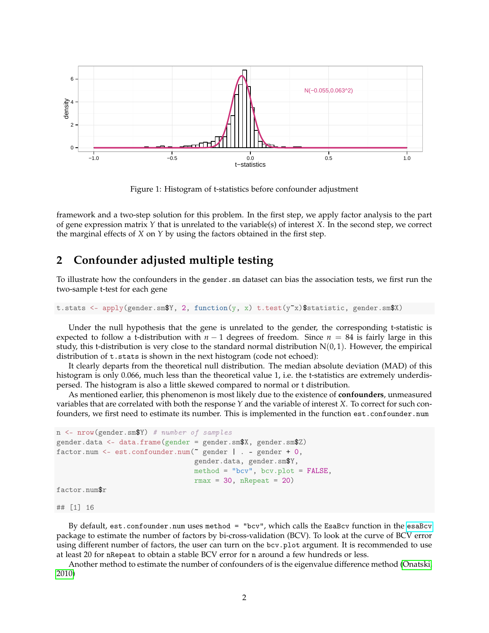

Figure 1: Histogram of t-statistics before confounder adjustment

framework and a two-step solution for this problem. In the first step, we apply factor analysis to the part of gene expression matrix *Y* that is unrelated to the variable(s) of interest *X*. In the second step, we correct the marginal effects of *X* on *Y* by using the factors obtained in the first step.

## **2 Confounder adjusted multiple testing**

To illustrate how the confounders in the gender.sm dataset can bias the association tests, we first run the two-sample t-test for each gene

t.stats <- apply(gender.sm\$Y, 2, function(y, x) t.test(y~x)\$statistic, gender.sm\$X)

Under the null hypothesis that the gene is unrelated to the gender, the corresponding t-statistic is expected to follow a t-distribution with  $n - 1$  degrees of freedom. Since  $n = 84$  is fairly large in this study, this t-distribution is very close to the standard normal distribution  $N(0, 1)$ . However, the empirical distribution of t.stats is shown in the next histogram (code not echoed):

It clearly departs from the theoretical null distribution. The median absolute deviation (MAD) of this histogram is only 0.066, much less than the theoretical value 1, i.e. the t-statistics are extremely underdispersed. The histogram is also a little skewed compared to normal or t distribution.

As mentioned earlier, this phenomenon is most likely due to the existence of **confounders**, unmeasured variables that are correlated with both the response *Y* and the variable of interest *X*. To correct for such confounders, we first need to estimate its number. This is implemented in the function est.confounder.num

```
n <- nrow(gender.sm$Y) # number of samples
gender.data <- data.frame(gender = gender.sm$X, gender.sm$Z)
factor.num <- est.confounder.num(~ gender | . - gender + 0,
                                 gender.data, gender.sm$Y,
                                 method = "bcv", bcv.plot = FALSE,rmax = 30, nRepeat = 20)
```
factor.num\$r

## [1] 16

By default, est.confounder.num uses method = "bcv", which calls the EsaBcv function in the [esaBcv](https://cran.r-project.org/web/packages/esaBcv/index.html) package to estimate the number of factors by bi-cross-validation (BCV). To look at the curve of BCV error using different number of factors, the user can turn on the bcv.plot argument. It is recommended to use at least 20 for nRepeat to obtain a stable BCV error for n around a few hundreds or less.

Another method to estimate the number of confounders of is the eigenvalue difference method [\(Onatski,](#page-5-3) [2010\)](#page-5-3)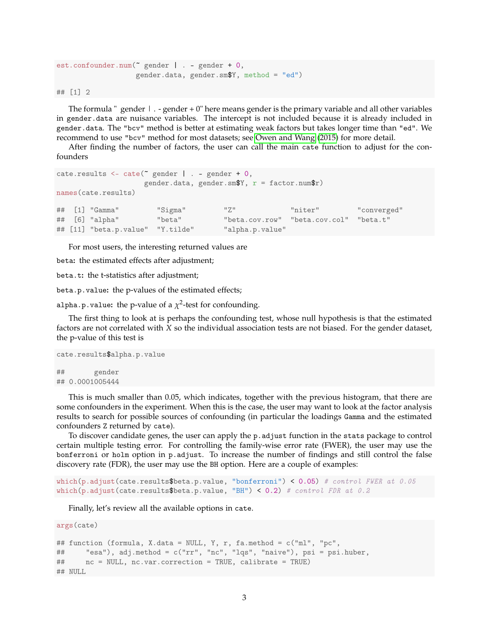```
est.confounder.num(~ gender | . - gender + 0,
                   gender.data, gender.sm$Y, method = "ed")
```
## [1] 2

The formula " gender  $\vert \cdot \vert$  - gender + 0" here means gender is the primary variable and all other variables in gender.data are nuisance variables. The intercept is not included because it is already included in gender.data. The "bcv" method is better at estimating weak factors but takes longer time than "ed". We recommend to use "bcv" method for most datasets; see [Owen and Wang](#page-5-4) [\(2015\)](#page-5-4) for more detail.

After finding the number of factors, the user can call the main cate function to adjust for the confounders

```
cate.results \leq cate(" gender | . - gender + 0,
                 gender.data, gender.sm$Y, r = factor.num$r)
names(cate.results)
## [1] "Gamma" "Sigma" "Z" "niter" "converged"
## [6] "alpha" "beta" "beta.cov.row" "beta.cov.col" "beta.t"
## [11] "beta.p.value" "Y.tilde" "alpha.p.value"
```
For most users, the interesting returned values are

beta**:** the estimated effects after adjustment;

beta.t**:** the t-statistics after adjustment;

beta.p.value**:** the p-values of the estimated effects;

alpha.p.value: the p-value of a  $\chi^2$ -test for confounding.

The first thing to look at is perhaps the confounding test, whose null hypothesis is that the estimated factors are not correlated with *X* so the individual association tests are not biased. For the gender dataset, the p-value of this test is

```
cate.results$alpha.p.value
## gender
## 0.0001005444
```
This is much smaller than 0.05, which indicates, together with the previous histogram, that there are some confounders in the experiment. When this is the case, the user may want to look at the factor analysis results to search for possible sources of confounding (in particular the loadings Gamma and the estimated confounders Z returned by cate).

To discover candidate genes, the user can apply the p.adjust function in the stats package to control certain multiple testing error. For controlling the family-wise error rate (FWER), the user may use the bonferroni or holm option in p.adjust. To increase the number of findings and still control the false discovery rate (FDR), the user may use the BH option. Here are a couple of examples:

```
which(p.adjust(cate.results$beta.p.value, "bonferroni") < 0.05) # control FWER at 0.05
which(p.adjust(cate.results$beta.p.value, "BH") < 0.2) # control FDR at 0.2
```
Finally, let's review all the available options in cate.

```
args(cate)
## function (formula, X.data = NULL, Y, r, fa.method = c("ml", "pc",
## "esa"), adj.method = c("rr", "nc", "lqs", "naive"), psi = psi.huber,
## nc = NULL, nc.var.correction = TRUE, calibrate = TRUE)
## NULL
```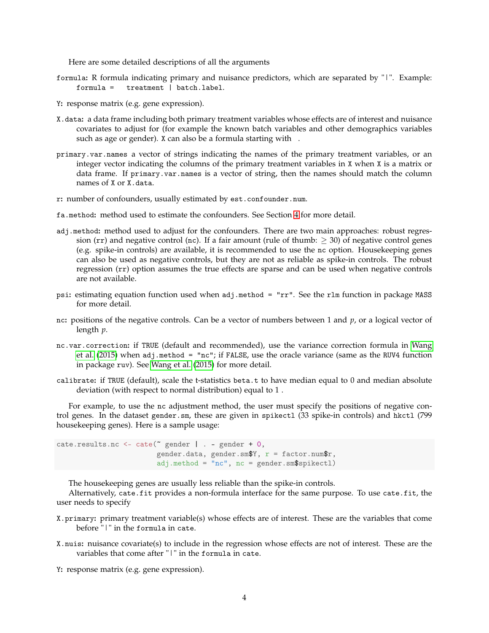Here are some detailed descriptions of all the arguments

- formula**:** R formula indicating primary and nuisance predictors, which are separated by "|". Example:  $treatment$  | batch.label.
- Y**:** response matrix (e.g. gene expression).
- X.data**:** a data frame including both primary treatment variables whose effects are of interest and nuisance covariates to adjust for (for example the known batch variables and other demographics variables such as age or gender). X can also be a formula starting with .
- primary.var.names a vector of strings indicating the names of the primary treatment variables, or an integer vector indicating the columns of the primary treatment variables in X when X is a matrix or data frame. If primary.var.names is a vector of string, then the names should match the column names of X or X.data.
- r**:** number of confounders, usually estimated by est.confounder.num.
- fa.method**:** method used to estimate the confounders. See Section [4](#page-4-0) for more detail.
- adj.method**:** method used to adjust for the confounders. There are two main approaches: robust regression (rr) and negative control (nc). If a fair amount (rule of thumb:  $\geq$  30) of negative control genes (e.g. spike-in controls) are available, it is recommended to use the nc option. Housekeeping genes can also be used as negative controls, but they are not as reliable as spike-in controls. The robust regression (rr) option assumes the true effects are sparse and can be used when negative controls are not available.
- psi**:** estimating equation function used when adj.method = "rr". See the rlm function in package MASS for more detail.
- nc**:** positions of the negative controls. Can be a vector of numbers between 1 and *p*, or a logical vector of length *p*.
- nc.var.correction**:** if TRUE (default and recommended), use the variance correction formula in [Wang](#page-5-2) [et al.](#page-5-2) [\(2015\)](#page-5-2) when adj.method = "nc"; if FALSE, use the oracle variance (same as the RUV4 function in package ruv). See [Wang et al.](#page-5-2) [\(2015\)](#page-5-2) for more detail.
- calibrate**:** if TRUE (default), scale the t-statistics beta.t to have median equal to 0 and median absolute deviation (with respect to normal distribution) equal to 1 .

For example, to use the nc adjustment method, the user must specify the positions of negative control genes. In the dataset gender.sm, these are given in spikectl (33 spike-in controls) and hkctl (799 housekeeping genes). Here is a sample usage:

```
cate.results.nc <- cate(\degree gender | . - gender + 0,
                         gender.data, gender.sm$Y, r = factor.num$r,
                         adj. method = "nc", nc = gender. sm$spikect1)
```
The housekeeping genes are usually less reliable than the spike-in controls.

Alternatively, cate.fit provides a non-formula interface for the same purpose. To use cate.fit, the user needs to specify

- X.primary**:** primary treatment variable(s) whose effects are of interest. These are the variables that come before "|" in the formula in cate.
- X.nuis**:** nuisance covariate(s) to include in the regression whose effects are not of interest. These are the variables that come after "|" in the formula in cate.
- Y**:** response matrix (e.g. gene expression).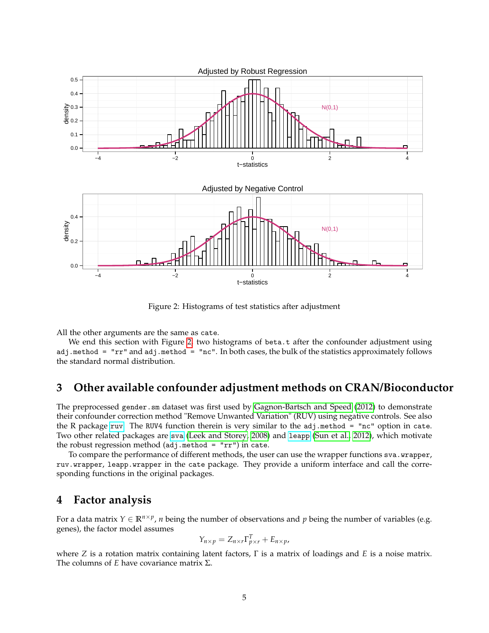

<span id="page-4-1"></span>Figure 2: Histograms of test statistics after adjustment

All the other arguments are the same as cate.

We end this section with Figure [2,](#page-4-1) two histograms of beta.t after the confounder adjustment using adj.method = "rr" and adj.method = "nc". In both cases, the bulk of the statistics approximately follows the standard normal distribution.

## **3 Other available confounder adjustment methods on CRAN/Bioconductor**

The preprocessed gender. sm dataset was first used by [Gagnon-Bartsch and Speed](#page-5-1) [\(2012\)](#page-5-1) to demonstrate their confounder correction method "Remove Unwanted Variation" (RUV) using negative controls. See also the R package [ruv](https://cran.r-project.org/web/packages/ruv/index.html). The RUV4 function therein is very similar to the  $adj.\text{method} = \text{''nc''}$  option in cate. Two other related packages are [sva](https://www.bioconductor.org/packages/release/bioc/html/sva.html) [\(Leek and Storey, 2008\)](#page-5-5) and [leapp](https://cran.r-project.org/web/packages/leapp/index.html) [\(Sun et al., 2012\)](#page-5-6), which motivate the robust regression method  $(\text{adj}. \text{method} = "rr")$  in cate.

To compare the performance of different methods, the user can use the wrapper functions sva.wrapper, ruv.wrapper, leapp.wrapper in the cate package. They provide a uniform interface and call the corresponding functions in the original packages.

## <span id="page-4-0"></span>**4 Factor analysis**

For a data matrix  $Y \in \mathbb{R}^{n \times p}$ , *n* being the number of observations and *p* being the number of variables (e.g. genes), the factor model assumes

$$
Y_{n\times p} = Z_{n\times r} \Gamma_{p\times r}^T + E_{n\times p},
$$

where *Z* is a rotation matrix containing latent factors, Γ is a matrix of loadings and *E* is a noise matrix. The columns of *E* have covariance matrix Σ.